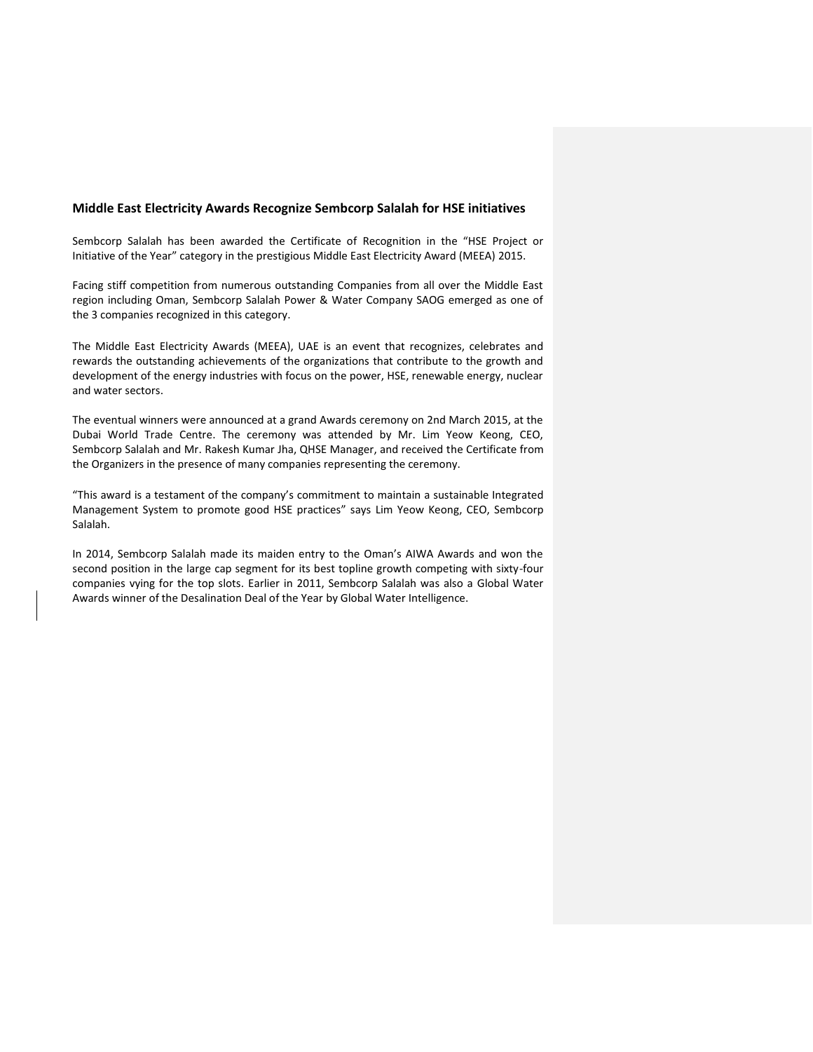## **Middle East Electricity Awards Recognize Sembcorp Salalah for HSE initiatives**

Sembcorp Salalah has been awarded the Certificate of Recognition in the "HSE Project or Initiative of the Year" category in the prestigious Middle East Electricity Award (MEEA) 2015.

Facing stiff competition from numerous outstanding Companies from all over the Middle East region including Oman, Sembcorp Salalah Power & Water Company SAOG emerged as one of the 3 companies recognized in this category.

The Middle East Electricity Awards (MEEA), UAE is an event that recognizes, celebrates and rewards the outstanding achievements of the organizations that contribute to the growth and development of the energy industries with focus on the power, HSE, renewable energy, nuclear and water sectors.

The eventual winners were announced at a grand Awards ceremony on 2nd March 2015, at the Dubai World Trade Centre. The ceremony was attended by Mr. Lim Yeow Keong, CEO, Sembcorp Salalah and Mr. Rakesh Kumar Jha, QHSE Manager, and received the Certificate from the Organizers in the presence of many companies representing the ceremony.

"This award is a testament of the company's commitment to maintain a sustainable Integrated Management System to promote good HSE practices" says Lim Yeow Keong, CEO, Sembcorp Salalah.

In 2014, Sembcorp Salalah made its maiden entry to the Oman's AIWA Awards and won the second position in the large cap segment for its best topline growth competing with sixty-four companies vying for the top slots. Earlier in 2011, Sembcorp Salalah was also a Global Water Awards winner of the Desalination Deal of the Year by Global Water Intelligence.